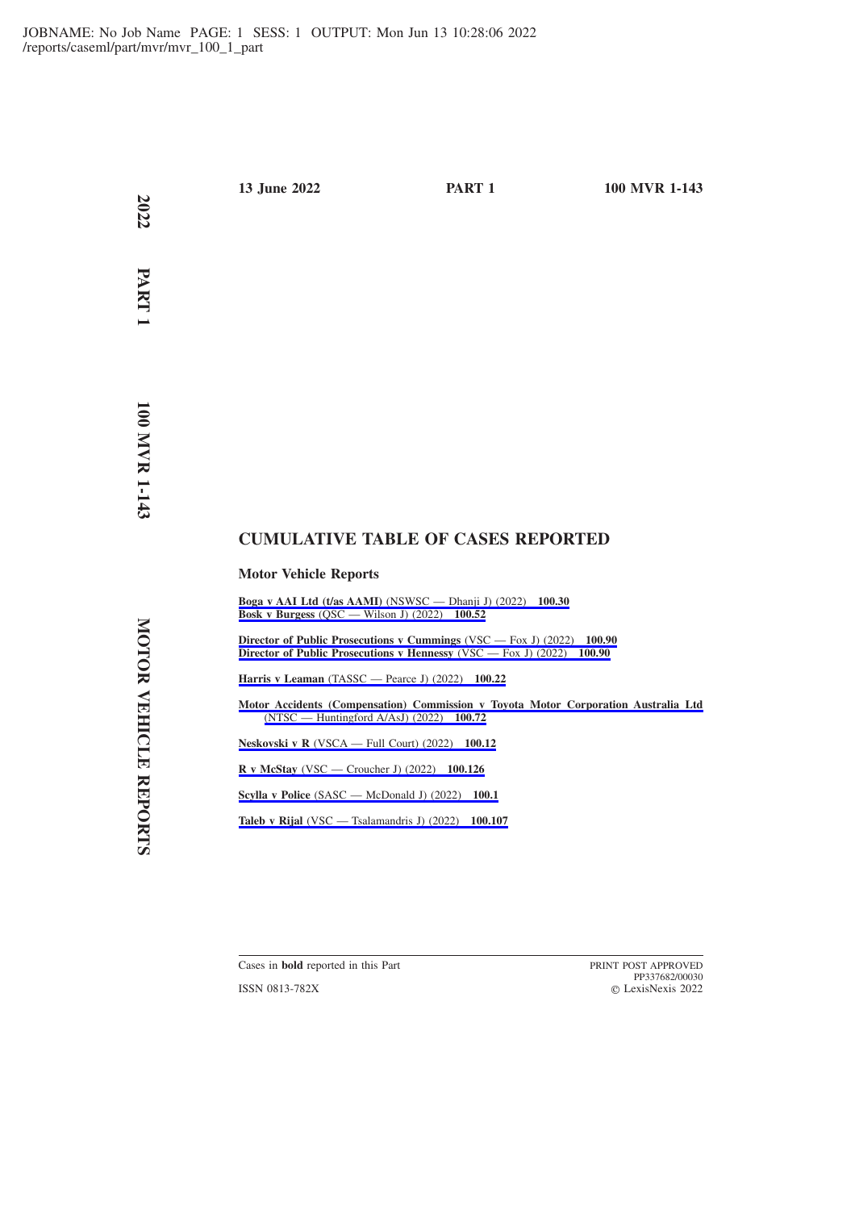**2022**

 **PART 1**

# **CUMULATIVE TABLE OF CASES REPORTED**

# **Motor Vehicle Reports**

**[Boga v AAI Ltd \(t/as AAMI\)](https://advance.lexis.com/api/permalink/bc97ce53-e98b-4aa5-8f46-f40bd4159990/?context=1201008)** (NSWSC — Dhanji J) (2022) **100.30 Bosk v Burgess** [\(QSC — Wilson J\) \(2022\)](https://advance.lexis.com/api/permalink/f138e646-8798-4620-82ce-142d269f225e/?context=1201008) **100.52**

**[Director of Public Prosecutions v Cummings](https://advance.lexis.com/api/permalink/57d50d86-fc7e-420d-bcaf-f5d5b3ee59c4/?context=1201008)** (VSC — Fox J) (2022) **100.90 [Director of Public Prosecutions v Hennessy](https://advance.lexis.com/api/permalink/57d50d86-fc7e-420d-bcaf-f5d5b3ee59c4/?context=1201008)** (VSC — Fox J) (2022) **100.90**

**Harris v Leaman** [\(TASSC — Pearce J\) \(2022\)](https://advance.lexis.com/api/permalink/1bc01f36-fd53-4907-9d07-0355ae9b56fb/?context=1201008) **100.22**

**[Motor Accidents \(Compensation\) Commission v Toyota Motor Corporation Australia Ltd](https://advance.lexis.com/api/permalink/33c10e5b-3dce-4a88-9aaa-6c888efd584f/?context=1201008)** [\(NTSC — Huntingford A/AsJ\) \(2022\)](https://advance.lexis.com/api/permalink/33c10e5b-3dce-4a88-9aaa-6c888efd584f/?context=1201008) **100.72**

**Neskovski v R** [\(VSCA — Full Court\) \(2022\)](https://advance.lexis.com/api/permalink/132c830c-5516-408e-80de-675b8444a9d5/?context=1201008) **100.12**

**R v McStay** [\(VSC — Croucher J\) \(2022\)](https://advance.lexis.com/api/permalink/be5c92f5-e0ef-4846-afe7-205824f1af9d/?context=1201008) **100.126**

**Scylla v Police** [\(SASC — McDonald J\) \(2022\)](https://advance.lexis.com/api/permalink/57e4ce9d-075d-4295-8b1b-8fc5392ee2be/?context=1201008) **100.1**

**Taleb v Rijal** [\(VSC — Tsalamandris J\) \(2022\)](https://advance.lexis.com/api/permalink/5aaa9ee0-2110-40d9-8a8f-e95e54abc8f6/?context=1201008) **100.107**

Cases in **bold** reported in this Part **PRINT POST APPROVED** 

ISSN 0813-782X

PP337682/00030 LexisNexis 2022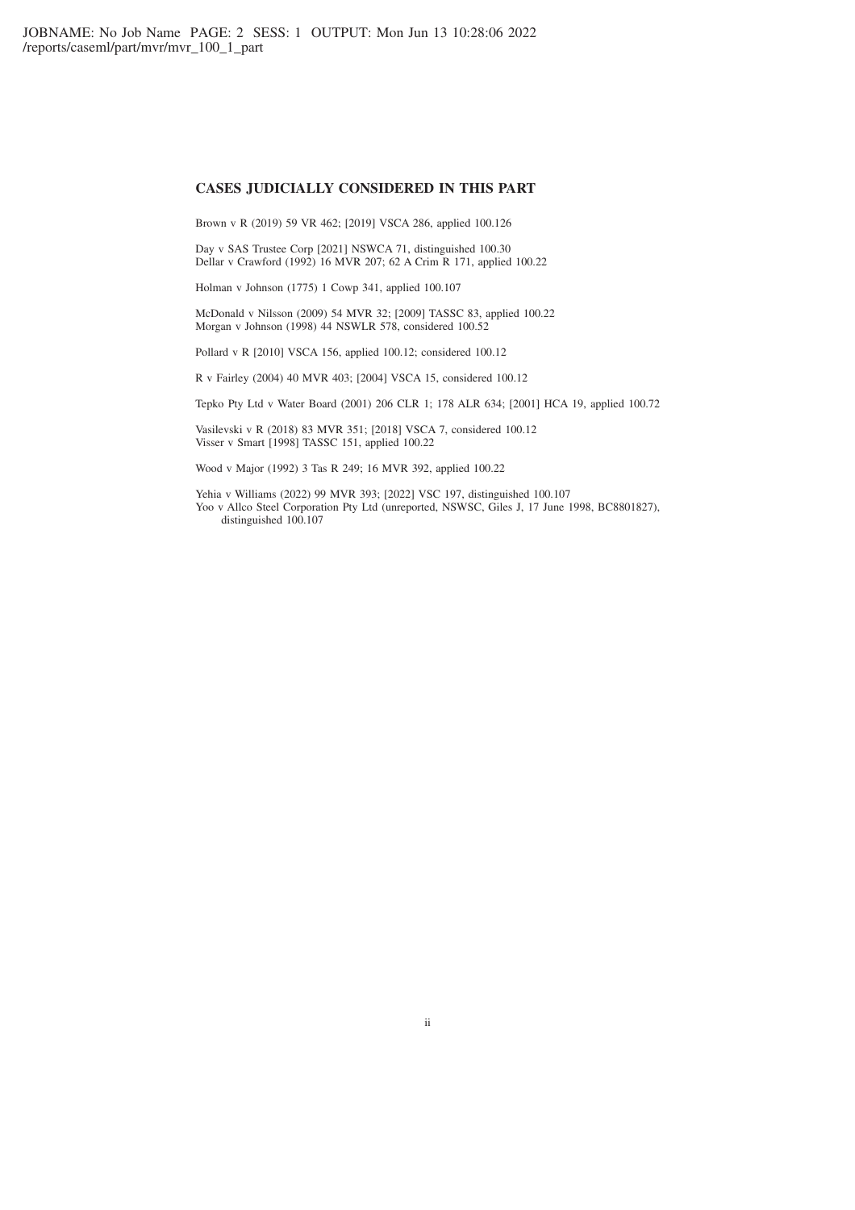### **CASES JUDICIALLY CONSIDERED IN THIS PART**

Brown v R (2019) 59 VR 462; [2019] VSCA 286, applied 100.126

Day v SAS Trustee Corp [2021] NSWCA 71, distinguished 100.30 Dellar v Crawford (1992) 16 MVR 207; 62 A Crim R 171, applied 100.22

Holman v Johnson (1775) 1 Cowp 341, applied 100.107

McDonald v Nilsson (2009) 54 MVR 32; [2009] TASSC 83, applied 100.22 Morgan v Johnson (1998) 44 NSWLR 578, considered 100.52

Pollard v R [2010] VSCA 156, applied 100.12; considered 100.12

R v Fairley (2004) 40 MVR 403; [2004] VSCA 15, considered 100.12

Tepko Pty Ltd v Water Board (2001) 206 CLR 1; 178 ALR 634; [2001] HCA 19, applied 100.72

Vasilevski v R (2018) 83 MVR 351; [2018] VSCA 7, considered 100.12 Visser v Smart [1998] TASSC 151, applied 100.22

Wood v Major (1992) 3 Tas R 249; 16 MVR 392, applied 100.22

Yehia v Williams (2022) 99 MVR 393; [2022] VSC 197, distinguished 100.107 Yoo v Allco Steel Corporation Pty Ltd (unreported, NSWSC, Giles J, 17 June 1998, BC8801827), distinguished 100.107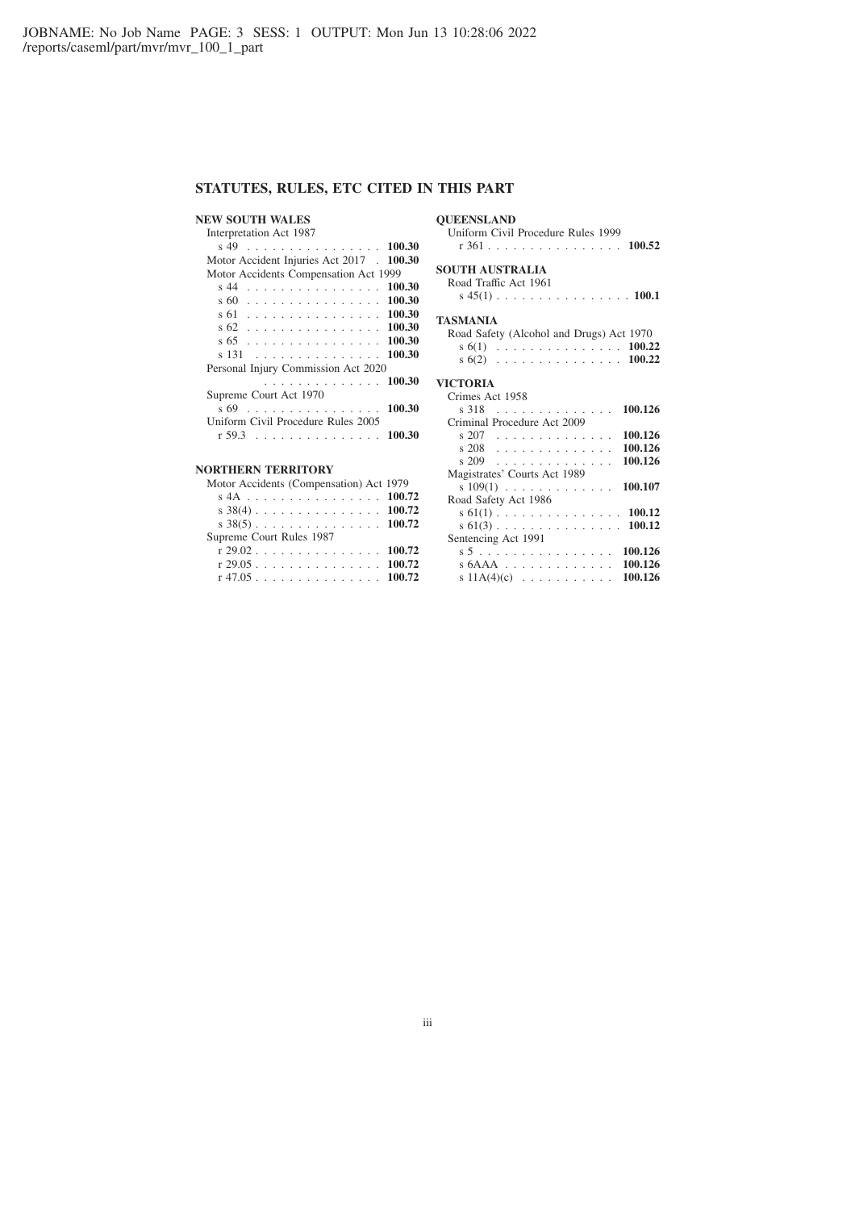## **STATUTES, RULES, ETC CITED IN THIS PART**

### **NEW SOUTH WALES**

### **QUEENSLAND**

Interpretation Act 1987 s 49 . . . . . . . . . . . . . . . . **100.30** Motor Accident Injuries Act 2017 . **100.30** Motor Accidents Compensation Act 1999 s 44 . . . . . . . . . . . . . . . . **100.30** s 60 . . . . . . . . . . . . . . . . **100.30** s 61 . . . . . . . . . . . . . . . . **100.30** s 62 . . . . . . . . . . . . . . . . **100.30** s 65 . . . . . . . . . . . . . . . . **100.30** s 131 . . . . . . . . . . . . . . . **100.30** Personal Injury Commission Act 2020 .............. **100.30** Supreme Court Act 1970 s 69 . . . . . . . . . . . . . . . . **100.30** Uniform Civil Procedure Rules 2005 r 59.3 ............... **100.30**

# **NORTHERN TERRITORY**

| JNIHENN IENNIUNI                        |  |
|-----------------------------------------|--|
| Motor Accidents (Compensation) Act 1979 |  |
| s 4A 100.72                             |  |
|                                         |  |
| s $38(5)$ 100.72                        |  |
| Supreme Court Rules 1987                |  |
| r 29.02 100.72                          |  |
| $r$ 29.05 100.72                        |  |
| $r$ 47.05 100.72                        |  |
|                                         |  |

Uniform Civil Procedure Rules 1999 r 361 . . . . . . . . . . . . . . . . **100.52**

### **SOUTH AUSTRALIA**

Road Traffic Act 1961

s 45(1) ................ **100.1**

#### **TASMANIA**

| Road Safety (Alcohol and Drugs) Act 1970 |  |  |  |  |  |  |  |  |
|------------------------------------------|--|--|--|--|--|--|--|--|
| s 6(1) $\ldots$ 100.22                   |  |  |  |  |  |  |  |  |
| s $6(2)$ 100.22                          |  |  |  |  |  |  |  |  |

#### **VICTORIA**

Crimes Act 1958 s 318 . . . . . . . . . . . . . . **100.126** Criminal Procedure Act 2009 s 207 . . . . . . . . . . . . . . **100.126** s 208 . . . . . . . . . . . . . . **100.126** s 209 . . . . . . . . . . . . . . **100.126** Magistrates' Courts Act 1989 s 109(1) ............. **100.107** Road Safety Act 1986 s 61(1) ............... **100.12** s 61(3) ............... **100.12** Sentencing Act 1991 s5 . . . . . . . . . . . . . . . . **100.126** s 6AAA ............. **100.126** s 11A(4)(c) ........... **100.126**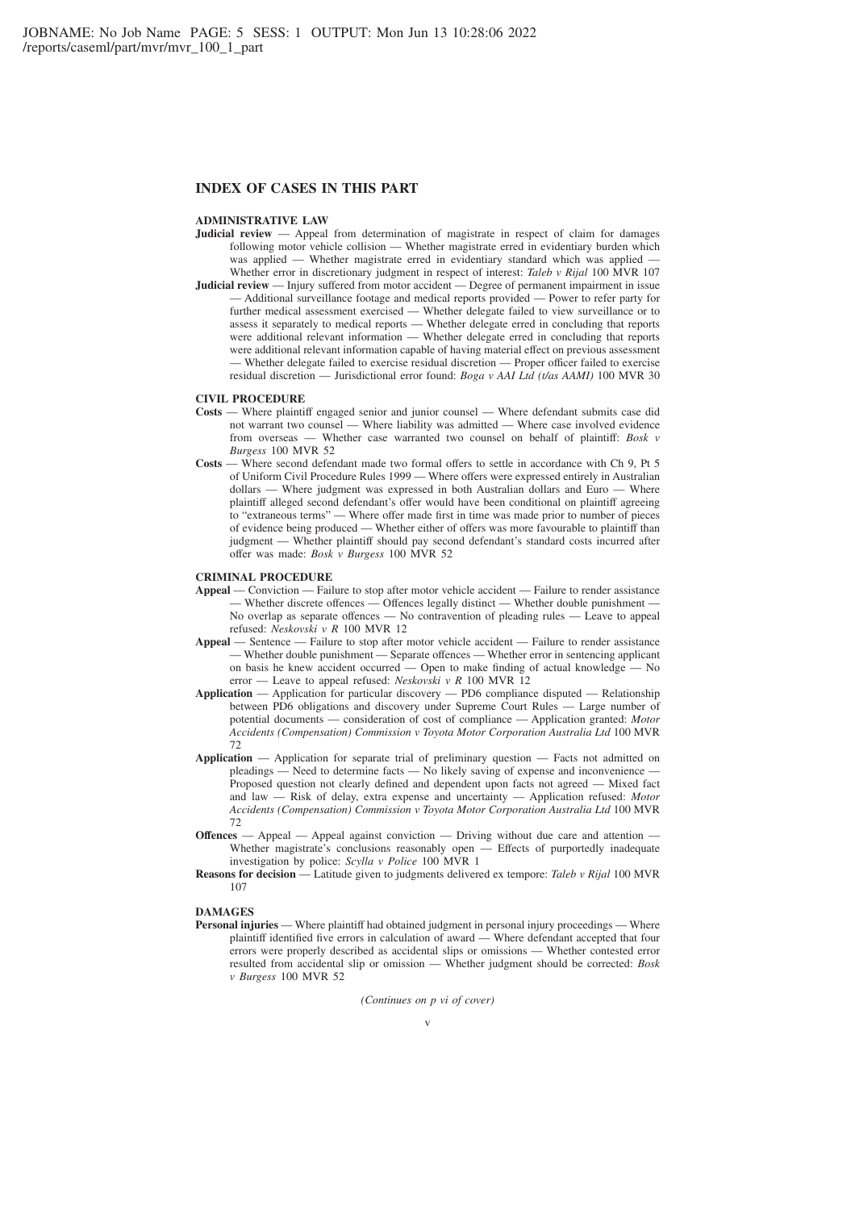### **INDEX OF CASES IN THIS PART**

### **ADMINISTRATIVE LAW**

- **Judicial review** Appeal from determination of magistrate in respect of claim for damages following motor vehicle collision — Whether magistrate erred in evidentiary burden which was applied — Whether magistrate erred in evidentiary standard which was applied — Whether error in discretionary judgment in respect of interest: *Taleb v Rijal* 100 MVR 107 **Judicial review** — Injury suffered from motor accident — Degree of permanent impairment in issue
- Additional surveillance footage and medical reports provided Power to refer party for further medical assessment exercised — Whether delegate failed to view surveillance or to assess it separately to medical reports — Whether delegate erred in concluding that reports were additional relevant information — Whether delegate erred in concluding that reports were additional relevant information capable of having material effect on previous assessment — Whether delegate failed to exercise residual discretion — Proper officer failed to exercise residual discretion — Jurisdictional error found: *Boga v AAI Ltd (t/as AAMI)* 100 MVR 30

### **CIVIL PROCEDURE**

- **Costs** Where plaintiff engaged senior and junior counsel Where defendant submits case did not warrant two counsel — Where liability was admitted — Where case involved evidence from overseas — Whether case warranted two counsel on behalf of plaintiff: *Bosk v Burgess* 100 MVR 52
- **Costs** Where second defendant made two formal offers to settle in accordance with Ch 9, Pt 5 of Uniform Civil Procedure Rules 1999 — Where offers were expressed entirely in Australian dollars — Where judgment was expressed in both Australian dollars and Euro — Where plaintiff alleged second defendant's offer would have been conditional on plaintiff agreeing to "extraneous terms" — Where offer made first in time was made prior to number of pieces of evidence being produced — Whether either of offers was more favourable to plaintiff than judgment — Whether plaintiff should pay second defendant's standard costs incurred after offer was made: *Bosk v Burgess* 100 MVR 52

#### **CRIMINAL PROCEDURE**

- **Appeal** Conviction Failure to stop after motor vehicle accident Failure to render assistance — Whether discrete offences — Offences legally distinct — Whether double punishment — No overlap as separate offences — No contravention of pleading rules — Leave to appeal refused: *Neskovski v R* 100 MVR 12
- **Appeal** Sentence Failure to stop after motor vehicle accident Failure to render assistance — Whether double punishment — Separate offences — Whether error in sentencing applicant on basis he knew accident occurred — Open to make finding of actual knowledge — No error — Leave to appeal refused: *Neskovski v R* 100 MVR 12
- **Application** Application for particular discovery PD6 compliance disputed Relationship between PD6 obligations and discovery under Supreme Court Rules — Large number of potential documents — consideration of cost of compliance — Application granted: *Motor Accidents (Compensation) Commission v Toyota Motor Corporation Australia Ltd* 100 MVR 72
- **Application** Application for separate trial of preliminary question Facts not admitted on pleadings — Need to determine facts — No likely saving of expense and inconvenience — Proposed question not clearly defined and dependent upon facts not agreed — Mixed fact and law — Risk of delay, extra expense and uncertainty — Application refused: *Motor Accidents (Compensation) Commission v Toyota Motor Corporation Australia Ltd* 100 MVR 72
- **Offences** Appeal Appeal against conviction Driving without due care and attention Whether magistrate's conclusions reasonably open Effects of purportedly inadequate Whether magistrate's conclusions reasonably open investigation by police: *Scylla v Police* 100 MVR 1
- **Reasons for decision** Latitude given to judgments delivered ex tempore: *Taleb v Rijal* 100 MVR 107

### **DAMAGES**

**Personal injuries** — Where plaintiff had obtained judgment in personal injury proceedings — Where plaintiff identified five errors in calculation of award — Where defendant accepted that four errors were properly described as accidental slips or omissions — Whether contested error resulted from accidental slip or omission — Whether judgment should be corrected: *Bosk v Burgess* 100 MVR 52

*(Continues on p vi of cover)*